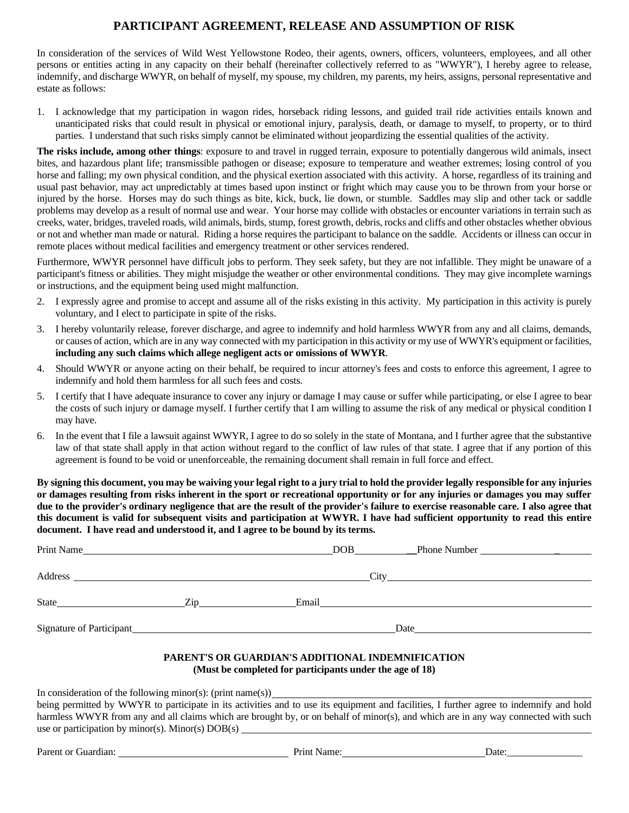# **PARTICIPANT AGREEMENT, RELEASE AND ASSUMPTION OF RISK**

In consideration of the services of Wild West Yellowstone Rodeo, their agents, owners, officers, volunteers, employees, and all other persons or entities acting in any capacity on their behalf (hereinafter collectively referred to as "WWYR"), I hereby agree to release, indemnify, and discharge WWYR, on behalf of myself, my spouse, my children, my parents, my heirs, assigns, personal representative and estate as follows:

1. I acknowledge that my participation in wagon rides, horseback riding lessons, and guided trail ride activities entails known and unanticipated risks that could result in physical or emotional injury, paralysis, death, or damage to myself, to property, or to third parties. I understand that such risks simply cannot be eliminated without jeopardizing the essential qualities of the activity.

**The risks include, among other things**: exposure to and travel in rugged terrain, exposure to potentially dangerous wild animals, insect bites, and hazardous plant life; transmissible pathogen or disease; exposure to temperature and weather extremes; losing control of you horse and falling; my own physical condition, and the physical exertion associated with this activity. A horse, regardless of its training and usual past behavior, may act unpredictably at times based upon instinct or fright which may cause you to be thrown from your horse or injured by the horse. Horses may do such things as bite, kick, buck, lie down, or stumble. Saddles may slip and other tack or saddle problems may develop as a result of normal use and wear. Your horse may collide with obstacles or encounter variations in terrain such as creeks, water, bridges, traveled roads, wild animals, birds, stump, forest growth, debris, rocks and cliffs and other obstacles whether obvious or not and whether man made or natural. Riding a horse requires the participant to balance on the saddle. Accidents or illness can occur in remote places without medical facilities and emergency treatment or other services rendered.

Furthermore, WWYR personnel have difficult jobs to perform. They seek safety, but they are not infallible. They might be unaware of a participant's fitness or abilities. They might misjudge the weather or other environmental conditions. They may give incomplete warnings or instructions, and the equipment being used might malfunction.

- 2. I expressly agree and promise to accept and assume all of the risks existing in this activity. My participation in this activity is purely voluntary, and I elect to participate in spite of the risks.
- 3. I hereby voluntarily release, forever discharge, and agree to indemnify and hold harmless WWYR from any and all claims, demands, or causes of action, which are in any way connected with my participation in this activity or my use of WWYR's equipment or facilities, **including any such claims which allege negligent acts or omissions of WWYR**.
- 4. Should WWYR or anyone acting on their behalf, be required to incur attorney's fees and costs to enforce this agreement, I agree to indemnify and hold them harmless for all such fees and costs.
- 5. I certify that I have adequate insurance to cover any injury or damage I may cause or suffer while participating, or else I agree to bear the costs of such injury or damage myself. I further certify that I am willing to assume the risk of any medical or physical condition I may have.
- 6. In the event that I file a lawsuit against WWYR, I agree to do so solely in the state of Montana, and I further agree that the substantive law of that state shall apply in that action without regard to the conflict of law rules of that state. I agree that if any portion of this agreement is found to be void or unenforceable, the remaining document shall remain in full force and effect.

**By signing this document, you may be waiving your legal right to a jury trial to hold the provider legally responsible for any injuries or damages resulting from risks inherent in the sport or recreational opportunity or for any injuries or damages you may suffer due to the provider's ordinary negligence that are the result of the provider's failure to exercise reasonable care. I also agree that this document is valid for subsequent visits and participation at WWYR. I have had sufficient opportunity to read this entire document. I have read and understood it, and I agree to be bound by its terms.**

| Print Name                                                                                                                                                                                                                     |                                                                                                                                                                                                                                | DOB <sub>2</sub> |                                                                                                                                                                                                                                |
|--------------------------------------------------------------------------------------------------------------------------------------------------------------------------------------------------------------------------------|--------------------------------------------------------------------------------------------------------------------------------------------------------------------------------------------------------------------------------|------------------|--------------------------------------------------------------------------------------------------------------------------------------------------------------------------------------------------------------------------------|
| Address and the contract of the contract of the contract of the contract of the contract of the contract of the contract of the contract of the contract of the contract of the contract of the contract of the contract of th |                                                                                                                                                                                                                                |                  |                                                                                                                                                                                                                                |
| State                                                                                                                                                                                                                          | Zip and the same state of the state of the state of the state of the state of the state of the state of the state of the state of the state of the state of the state of the state of the state of the state of the state of t |                  |                                                                                                                                                                                                                                |
| Signature of Participant                                                                                                                                                                                                       |                                                                                                                                                                                                                                |                  | Date and the contract of the contract of the contract of the contract of the contract of the contract of the contract of the contract of the contract of the contract of the contract of the contract of the contract of the c |
|                                                                                                                                                                                                                                |                                                                                                                                                                                                                                |                  |                                                                                                                                                                                                                                |

#### **PARENT'S OR GUARDIAN'S ADDITIONAL INDEMNIFICATION (Must be completed for participants under the age of 18)**

In consideration of the following minor(s): (print name(s))

being permitted by WWYR to participate in its activities and to use its equipment and facilities, I further agree to indemnify and hold harmless WWYR from any and all claims which are brought by, or on behalf of minor(s), and which are in any way connected with such use or participation by minor(s). Minor(s) DOB(s)